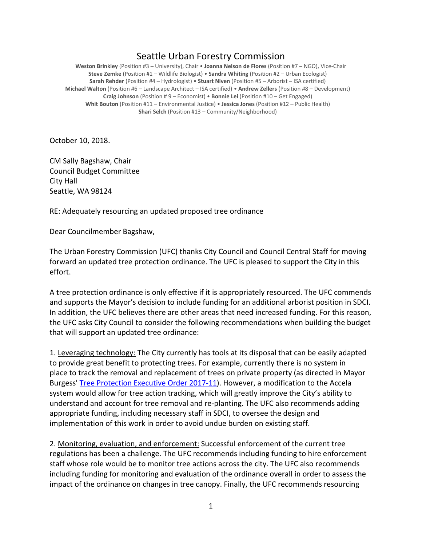## Seattle Urban Forestry Commission

**Weston Brinkley** (Position #3 – University), Chair • **Joanna Nelson de Flores** (Position #7 – NGO), Vice-Chair **Steve Zemke** (Position #1 – Wildlife Biologist) • **Sandra Whiting** (Position #2 – Urban Ecologist) **Sarah Rehder** (Position #4 – Hydrologist) • **Stuart Niven** (Position #5 – Arborist – ISA certified) **Michael Walton** (Position #6 – Landscape Architect – ISA certified) • **Andrew Zellers** (Position #8 – Development) **Craig Johnson** (Position # 9 – Economist) • **Bonnie Lei** (Position #10 – Get Engaged) **Whit Bouton** (Position #11 – Environmental Justice) • **Jessica Jones** (Position #12 – Public Health) **Shari Selch** (Position #13 – Community/Neighborhood)

October 10, 2018.

CM Sally Bagshaw, Chair Council Budget Committee City Hall Seattle, WA 98124

RE: Adequately resourcing an updated proposed tree ordinance

Dear Councilmember Bagshaw,

The Urban Forestry Commission (UFC) thanks City Council and Council Central Staff for moving forward an updated tree protection ordinance. The UFC is pleased to support the City in this effort.

A tree protection ordinance is only effective if it is appropriately resourced. The UFC commends and supports the Mayor's decision to include funding for an additional arborist position in SDCI. In addition, the UFC believes there are other areas that need increased funding. For this reason, the UFC asks City Council to consider the following recommendations when building the budget that will support an updated tree ordinance:

1. Leveraging technology: The City currently has tools at its disposal that can be easily adapted to provide great benefit to protecting trees. For example, currently there is no system in place to track the removal and replacement of trees on private property (as directed in Mayor Burgess' [Tree Protection Executive Order 2017-11\)](http://www.seattle.gov/Documents/Departments/UrbanForestryCommission/2018/2018docs/TreeExecOrder2017-11FINAL.pdf). However, a modification to the Accela system would allow for tree action tracking, which will greatly improve the City's ability to understand and account for tree removal and re-planting. The UFC also recommends adding appropriate funding, including necessary staff in SDCI, to oversee the design and implementation of this work in order to avoid undue burden on existing staff.

2. Monitoring, evaluation, and enforcement: Successful enforcement of the current tree regulations has been a challenge. The UFC recommends including funding to hire enforcement staff whose role would be to monitor tree actions across the city. The UFC also recommends including funding for monitoring and evaluation of the ordinance overall in order to assess the impact of the ordinance on changes in tree canopy. Finally, the UFC recommends resourcing